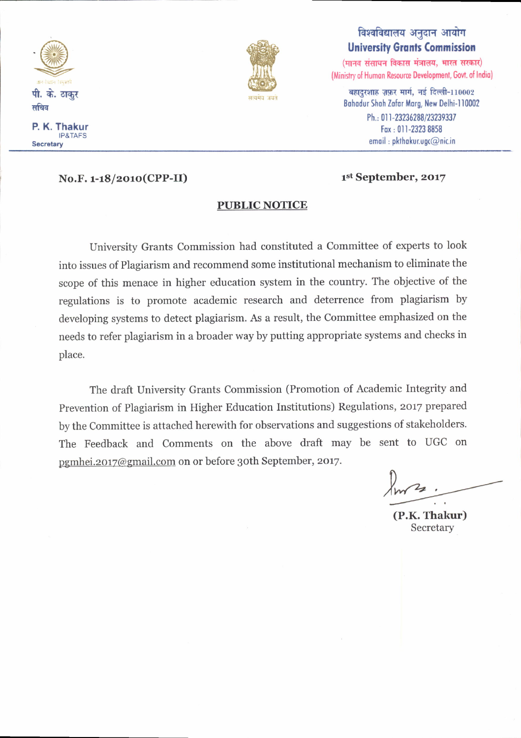

P. K. Thakur IP&TAFS **Secretary** 

No.F. 1-18/2010(CPP-II) 1st September, 2017



# विश्वविद्यालय अनुदान आयोग **University Grants Commission**

 $(n)$  (मानव संसाधन विकास मंत्रालय, भारत सरकार) (Ministry of Human Resource Development, Govt. of India)

 $\overline{\text{age}}$  बहादुरशाह ज़फ़र मार्ग, नई दिल्ली-110002 Bohodur Shoh Zofor Morg, New Delhi-l10002 Ph.: 011-23236288/23239337 Fox , 0l l-23?3 8858  $email : p$ kthakur.ugc $@$ nic.in

## **PUBLIC NOTICE**

University Grants Commission had constituted a Committee of experts to look into issues of Plagiarism and recommend some institutional mechanism to eliminate the scope of this menace in higher education system in the country. The objective of the regulations is to promote academic research and deterrence from plagiarism by developing systems to detect plagiarism. As a result, the Committee emphasized on the needs to refer plagiarism in a broader way by putting appropriate systems and checks in place.

The draft University Grants Commission (Promotion of Academic Integrity and Prevention of Plagiarism in Higher Education Institutions) Regulations, 2017 prepared by the Committee is attached herewith for observations and suggestions of stakeholders. The Feedback and comments on the above draft may be sent to UGC on pgmhei.2017@gmail.com on or before 3oth September, 2017.

 $km^2$ .

(P.K. Thakur) Secretary